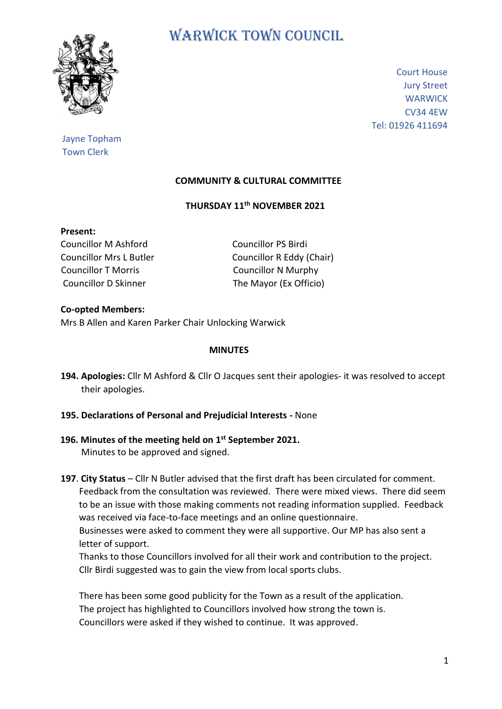

# WARWICK TOWN COUNCIL

Court House Jury Street **WARWICK** CV34 4EW Tel: 01926 411694

# Jayne Topham Town Clerk

## **COMMUNITY & CULTURAL COMMITTEE**

## **THURSDAY 11th NOVEMBER 2021**

## **Present:**

Councillor M Ashford Councillor PS Birdi Councillor T Morris Councillor N Murphy Councillor D Skinner The Mayor (Ex Officio)

Councillor Mrs L Butler Councillor R Eddy (Chair)

## **Co-opted Members:** Mrs B Allen and Karen Parker Chair Unlocking Warwick

## **MINUTES**

- **194. Apologies:** Cllr M Ashford & Cllr O Jacques sent their apologies- it was resolved to accept their apologies.
- **195. Declarations of Personal and Prejudicial Interests -** None

## **196. Minutes of the meeting held on 1 st September 2021.** Minutes to be approved and signed.

**197**. **City Status** – Cllr N Butler advised that the first draft has been circulated for comment. Feedback from the consultation was reviewed. There were mixed views. There did seem to be an issue with those making comments not reading information supplied. Feedback was received via face-to-face meetings and an online questionnaire.

 Businesses were asked to comment they were all supportive. Our MP has also sent a letter of support.

 Thanks to those Councillors involved for all their work and contribution to the project. Cllr Birdi suggested was to gain the view from local sports clubs.

 There has been some good publicity for the Town as a result of the application. The project has highlighted to Councillors involved how strong the town is. Councillors were asked if they wished to continue. It was approved.